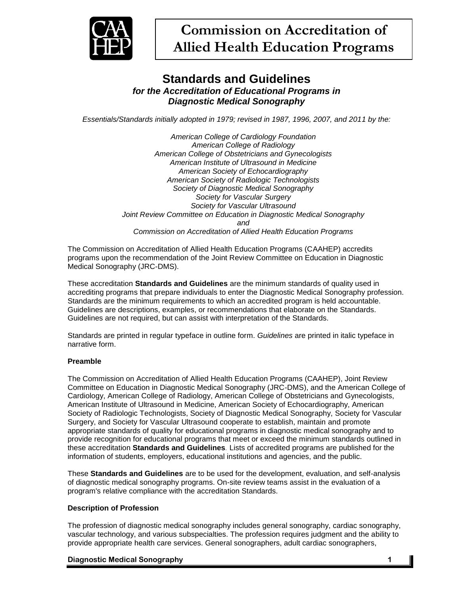

# **Standards and Guidelines** *for the Accreditation of Educational Programs in Diagnostic Medical Sonography*

*Essentials/Standards initially adopted in 1979; revised in 1987, 1996, 2007, and 2011 by the:*

*American College of Cardiology Foundation American College of Radiology American College of Obstetricians and Gynecologists American Institute of Ultrasound in Medicine American Society of Echocardiography American Society of Radiologic Technologists Society of Diagnostic Medical Sonography Society for Vascular Surgery Society for Vascular Ultrasound Joint Review Committee on Education in Diagnostic Medical Sonography and Commission on Accreditation of Allied Health Education Programs*

The Commission on Accreditation of Allied Health Education Programs (CAAHEP) accredits programs upon the recommendation of the Joint Review Committee on Education in Diagnostic Medical Sonography (JRC-DMS).

These accreditation **Standards and Guidelines** are the minimum standards of quality used in accrediting programs that prepare individuals to enter the Diagnostic Medical Sonography profession. Standards are the minimum requirements to which an accredited program is held accountable. Guidelines are descriptions, examples, or recommendations that elaborate on the Standards. Guidelines are not required, but can assist with interpretation of the Standards.

Standards are printed in regular typeface in outline form. *Guidelines* are printed in italic typeface in narrative form.

# **Preamble**

The Commission on Accreditation of Allied Health Education Programs (CAAHEP), Joint Review Committee on Education in Diagnostic Medical Sonography (JRC-DMS), and the American College of Cardiology, American College of Radiology, American College of Obstetricians and Gynecologists, American Institute of Ultrasound in Medicine, American Society of Echocardiography, American Society of Radiologic Technologists, Society of Diagnostic Medical Sonography, Society for Vascular Surgery, and Society for Vascular Ultrasound cooperate to establish, maintain and promote appropriate standards of quality for educational programs in diagnostic medical sonography and to provide recognition for educational programs that meet or exceed the minimum standards outlined in these accreditation **Standards and Guidelines***.* Lists of accredited programs are published for the information of students, employers, educational institutions and agencies, and the public.

These **Standards and Guidelines** are to be used for the development, evaluation, and self-analysis of diagnostic medical sonography programs. On-site review teams assist in the evaluation of a program's relative compliance with the accreditation Standards.

# **Description of Profession**

The profession of diagnostic medical sonography includes general sonography, cardiac sonography, vascular technology, and various subspecialties. The profession requires judgment and the ability to provide appropriate health care services. General sonographers, adult cardiac sonographers,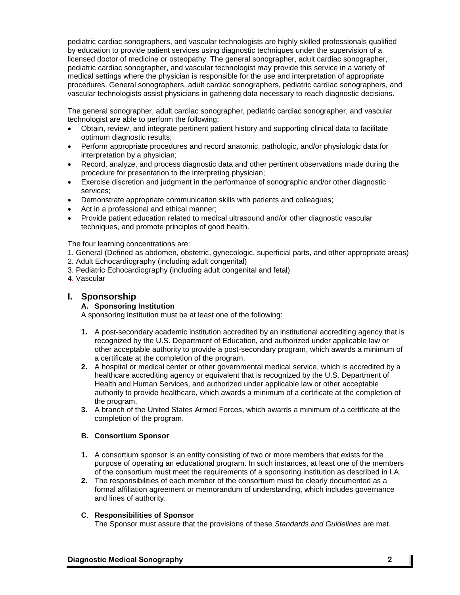pediatric cardiac sonographers, and vascular technologists are highly skilled professionals qualified by education to provide patient services using diagnostic techniques under the supervision of a licensed doctor of medicine or osteopathy. The general sonographer, adult cardiac sonographer, pediatric cardiac sonographer, and vascular technologist may provide this service in a variety of medical settings where the physician is responsible for the use and interpretation of appropriate procedures. General sonographers, adult cardiac sonographers, pediatric cardiac sonographers, and vascular technologists assist physicians in gathering data necessary to reach diagnostic decisions.

The general sonographer, adult cardiac sonographer, pediatric cardiac sonographer, and vascular technologist are able to perform the following:

- Obtain, review, and integrate pertinent patient history and supporting clinical data to facilitate optimum diagnostic results;
- Perform appropriate procedures and record anatomic, pathologic, and/or physiologic data for interpretation by a physician;
- Record, analyze, and process diagnostic data and other pertinent observations made during the procedure for presentation to the interpreting physician;
- Exercise discretion and judgment in the performance of sonographic and/or other diagnostic services;
- Demonstrate appropriate communication skills with patients and colleagues;
- Act in a professional and ethical manner;
- Provide patient education related to medical ultrasound and/or other diagnostic vascular techniques, and promote principles of good health.

The four learning concentrations are:

- 1. General (Defined as abdomen, obstetric, gynecologic, superficial parts, and other appropriate areas)
- 2. Adult Echocardiography (including adult congenital)
- 3. Pediatric Echocardiography (including adult congenital and fetal)
- 4. Vascular

# **I. Sponsorship**

# **A. Sponsoring Institution**

A sponsoring institution must be at least one of the following:

- **1.** A post-secondary academic institution accredited by an institutional accrediting agency that is recognized by the U.S. Department of Education, and authorized under applicable law or other acceptable authority to provide a post-secondary program, which awards a minimum of a certificate at the completion of the program.
- **2.** A hospital or medical center or other governmental medical service, which is accredited by a healthcare accrediting agency or equivalent that is recognized by the U.S. Department of Health and Human Services, and authorized under applicable law or other acceptable authority to provide healthcare, which awards a minimum of a certificate at the completion of the program.
- **3.** A branch of the United States Armed Forces, which awards a minimum of a certificate at the completion of the program.

# **B. Consortium Sponsor**

- **1.** A consortium sponsor is an entity consisting of two or more members that exists for the purpose of operating an educational program. In such instances, at least one of the members of the consortium must meet the requirements of a sponsoring institution as described in I.A.
- **2.** The responsibilities of each member of the consortium must be clearly documented as a formal affiliation agreement or memorandum of understanding, which includes governance and lines of authority.

### **C**. **Responsibilities of Sponsor**

The Sponsor must assure that the provisions of these *Standards and Guidelines* are met.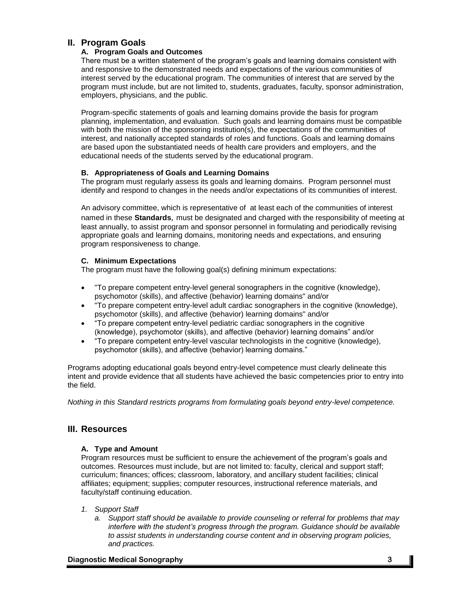# **II. Program Goals**

# **A. Program Goals and Outcomes**

There must be a written statement of the program's goals and learning domains consistent with and responsive to the demonstrated needs and expectations of the various communities of interest served by the educational program. The communities of interest that are served by the program must include, but are not limited to, students, graduates, faculty, sponsor administration, employers, physicians, and the public.

Program-specific statements of goals and learning domains provide the basis for program planning, implementation, and evaluation. Such goals and learning domains must be compatible with both the mission of the sponsoring institution(s), the expectations of the communities of interest, and nationally accepted standards of roles and functions. Goals and learning domains are based upon the substantiated needs of health care providers and employers, and the educational needs of the students served by the educational program.

## **B. Appropriateness of Goals and Learning Domains**

The program must regularly assess its goals and learning domains. Program personnel must identify and respond to changes in the needs and/or expectations of its communities of interest.

An advisory committee, which is representative of at least each of the communities of interest named in these **Standards***,* must be designated and charged with the responsibility of meeting at least annually, to assist program and sponsor personnel in formulating and periodically revising appropriate goals and learning domains, monitoring needs and expectations, and ensuring program responsiveness to change.

## **C. Minimum Expectations**

The program must have the following goal(s) defining minimum expectations:

- "To prepare competent entry-level general sonographers in the cognitive (knowledge), psychomotor (skills), and affective (behavior) learning domains" and/or
- "To prepare competent entry-level adult cardiac sonographers in the cognitive (knowledge), psychomotor (skills), and affective (behavior) learning domains" and/or
- "To prepare competent entry-level pediatric cardiac sonographers in the cognitive (knowledge), psychomotor (skills), and affective (behavior) learning domains" and/or
- "To prepare competent entry-level vascular technologists in the cognitive (knowledge), psychomotor (skills), and affective (behavior) learning domains."

Programs adopting educational goals beyond entry-level competence must clearly delineate this intent and provide evidence that all students have achieved the basic competencies prior to entry into the field.

*Nothing in this Standard restricts programs from formulating goals beyond entry-level competence.*

# **III. Resources**

# **A. Type and Amount**

Program resources must be sufficient to ensure the achievement of the program's goals and outcomes. Resources must include, but are not limited to: faculty, clerical and support staff; curriculum; finances; offices; classroom, laboratory, and ancillary student facilities; clinical affiliates; equipment; supplies; computer resources, instructional reference materials, and faculty/staff continuing education.

### *1. Support Staff*

*a. Support staff should be available to provide counseling or referral for problems that may interfere with the student's progress through the program. Guidance should be available to assist students in understanding course content and in observing program policies, and practices.*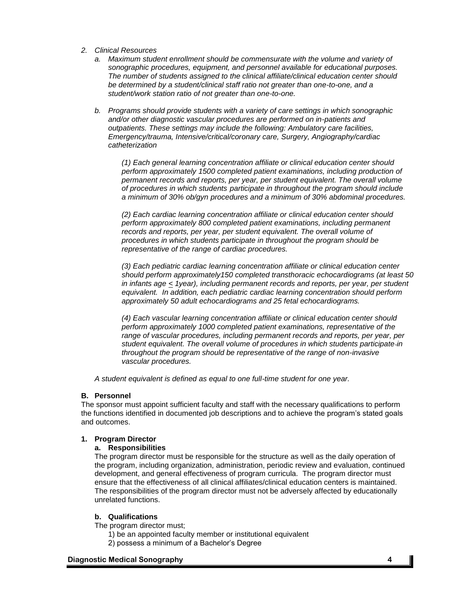- *2. Clinical Resources*
	- *a. Maximum student enrollment should be commensurate with the volume and variety of sonographic procedures, equipment, and personnel available for educational purposes. The number of students assigned to the clinical affiliate/clinical education center should be determined by a student/clinical staff ratio not greater than one-to-one, and a student/work station ratio of not greater than one-to-one.*
	- *b. Programs should provide students with a variety of care settings in which sonographic and/or other diagnostic vascular procedures are performed on in-patients and outpatients. These settings may include the following: Ambulatory care facilities, Emergency/trauma, Intensive/critical/coronary care, Surgery, Angiography/cardiac catheterization*

*(1) Each general learning concentration affiliate or clinical education center should perform approximately 1500 completed patient examinations, including production of permanent records and reports, per year, per student equivalent. The overall volume of procedures in which students participate in throughout the program should include a minimum of 30% ob/gyn procedures and a minimum of 30% abdominal procedures.*

*(2) Each cardiac learning concentration affiliate or clinical education center should perform approximately 800 completed patient examinations, including permanent records and reports, per year, per student equivalent. The overall volume of procedures in which students participate in throughout the program should be representative of the range of cardiac procedures.*

*(3) Each pediatric cardiac learning concentration affiliate or clinical education center should perform approximately150 completed transthoracic echocardiograms (at least 50 in infants age < 1year), including permanent records and reports, per year, per student equivalent. In addition, each pediatric cardiac learning concentration should perform approximately 50 adult echocardiograms and 25 fetal echocardiograms.*

*(4) Each vascular learning concentration affiliate or clinical education center should perform approximately 1000 completed patient examinations, representative of the range of vascular procedures, including permanent records and reports, per year, per student equivalent. The overall volume of procedures in which students participate in throughout the program should be representative of the range of non-invasive vascular procedures.*

*A student equivalent is defined as equal to one full-time student for one year.*

#### **B. Personnel**

The sponsor must appoint sufficient faculty and staff with the necessary qualifications to perform the functions identified in documented job descriptions and to achieve the program's stated goals and outcomes.

#### **1. Program Director**

#### **a. Responsibilities**

The program director must be responsible for the structure as well as the daily operation of the program, including organization, administration, periodic review and evaluation, continued development, and general effectiveness of program curricula. The program director must ensure that the effectiveness of all clinical affiliates/clinical education centers is maintained. The responsibilities of the program director must not be adversely affected by educationally unrelated functions.

### **b. Qualifications**

The program director must;

- 1) be an appointed faculty member or institutional equivalent
- 2) possess a minimum of a Bachelor's Degree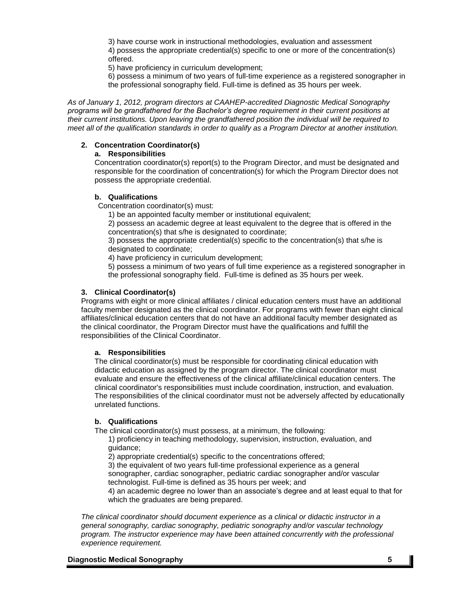3) have course work in instructional methodologies, evaluation and assessment 4) possess the appropriate credential(s) specific to one or more of the concentration(s) offered.

5) have proficiency in curriculum development;

6) possess a minimum of two years of full-time experience as a registered sonographer in the professional sonography field. Full-time is defined as 35 hours per week.

*As of January 1, 2012, program directors at CAAHEP-accredited Diagnostic Medical Sonography programs will be grandfathered for the Bachelor's degree requirement in their current positions at their current institutions. Upon leaving the grandfathered position the individual will be required to meet all of the qualification standards in order to qualify as a Program Director at another institution.*

## **2. Concentration Coordinator(s)**

## **a. Responsibilities**

Concentration coordinator(s) report(s) to the Program Director, and must be designated and responsible for the coordination of concentration(s) for which the Program Director does not possess the appropriate credential.

## **b. Qualifications**

Concentration coordinator(s) must:

1) be an appointed faculty member or institutional equivalent;

2) possess an academic degree at least equivalent to the degree that is offered in the concentration(s) that s/he is designated to coordinate;

3) possess the appropriate credential(s) specific to the concentration(s) that s/he is designated to coordinate;

4) have proficiency in curriculum development;

5) possess a minimum of two years of full time experience as a registered sonographer in the professional sonography field. Full-time is defined as 35 hours per week.

## **3. Clinical Coordinator(s)**

Programs with eight or more clinical affiliates / clinical education centers must have an additional faculty member designated as the clinical coordinator. For programs with fewer than eight clinical affiliates/clinical education centers that do not have an additional faculty member designated as the clinical coordinator, the Program Director must have the qualifications and fulfill the responsibilities of the Clinical Coordinator.

### **a. Responsibilities**

The clinical coordinator(s) must be responsible for coordinating clinical education with didactic education as assigned by the program director. The clinical coordinator must evaluate and ensure the effectiveness of the clinical affiliate/clinical education centers. The clinical coordinator's responsibilities must include coordination, instruction, and evaluation. The responsibilities of the clinical coordinator must not be adversely affected by educationally unrelated functions.

# **b. Qualifications**

The clinical coordinator(s) must possess, at a minimum, the following:

1) proficiency in teaching methodology, supervision, instruction, evaluation, and guidance;

2) appropriate credential(s) specific to the concentrations offered;

3) the equivalent of two years full-time professional experience as a general sonographer, cardiac sonographer, pediatric cardiac sonographer and/or vascular technologist. Full-time is defined as 35 hours per week; and

4) an academic degree no lower than an associate's degree and at least equal to that for which the graduates are being prepared.

*The clinical coordinator should document experience as a clinical or didactic instructor in a general sonography, cardiac sonography, pediatric sonography and/or vascular technology program. The instructor experience may have been attained concurrently with the professional experience requirement.*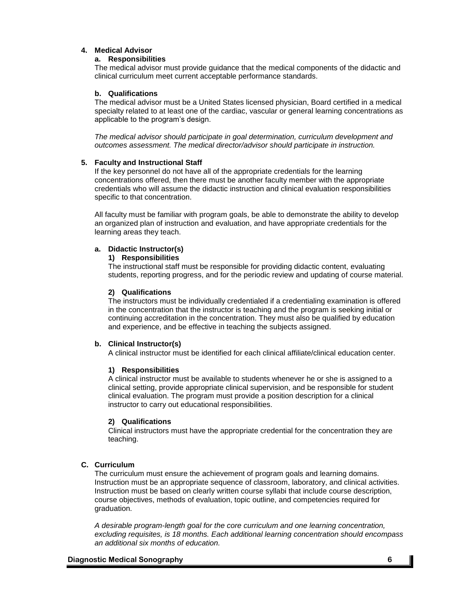# **4. Medical Advisor**

#### **a. Responsibilities**

The medical advisor must provide guidance that the medical components of the didactic and clinical curriculum meet current acceptable performance standards.

#### **b. Qualifications**

The medical advisor must be a United States licensed physician, Board certified in a medical specialty related to at least one of the cardiac, vascular or general learning concentrations as applicable to the program's design.

*The medical advisor should participate in goal determination, curriculum development and outcomes assessment. The medical director/advisor should participate in instruction.*

### **5. Faculty and Instructional Staff**

If the key personnel do not have all of the appropriate credentials for the learning concentrations offered, then there must be another faculty member with the appropriate credentials who will assume the didactic instruction and clinical evaluation responsibilities specific to that concentration.

All faculty must be familiar with program goals, be able to demonstrate the ability to develop an organized plan of instruction and evaluation, and have appropriate credentials for the learning areas they teach.

## **a. Didactic Instructor(s)**

#### **1) Responsibilities**

The instructional staff must be responsible for providing didactic content, evaluating students, reporting progress, and for the periodic review and updating of course material.

#### **2) Qualifications**

The instructors must be individually credentialed if a credentialing examination is offered in the concentration that the instructor is teaching and the program is seeking initial or continuing accreditation in the concentration. They must also be qualified by education and experience, and be effective in teaching the subjects assigned.

### **b. Clinical Instructor(s)**

A clinical instructor must be identified for each clinical affiliate/clinical education center.

### **1) Responsibilities**

A clinical instructor must be available to students whenever he or she is assigned to a clinical setting, provide appropriate clinical supervision, and be responsible for student clinical evaluation. The program must provide a position description for a clinical instructor to carry out educational responsibilities.

### **2) Qualifications**

Clinical instructors must have the appropriate credential for the concentration they are teaching.

### **C. Curriculum**

The curriculum must ensure the achievement of program goals and learning domains. Instruction must be an appropriate sequence of classroom, laboratory, and clinical activities. Instruction must be based on clearly written course syllabi that include course description, course objectives, methods of evaluation, topic outline, and competencies required for graduation.

*A desirable program-length goal for the core curriculum and one learning concentration, excluding requisites, is 18 months. Each additional learning concentration should encompass an additional six months of education.*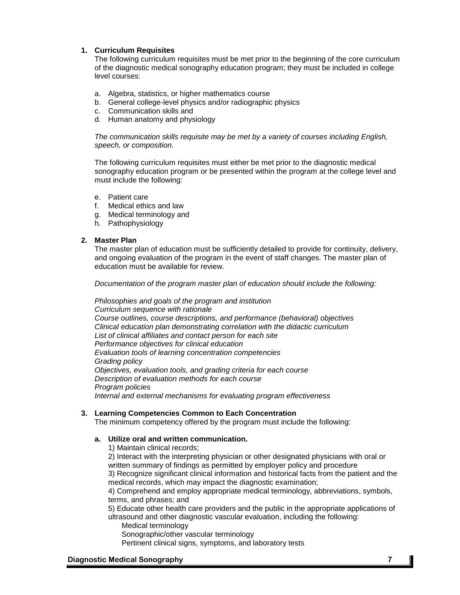# **1. Curriculum Requisites**

The following curriculum requisites must be met prior to the beginning of the core curriculum of the diagnostic medical sonography education program; they must be included in college level courses:

- a. Algebra, statistics, or higher mathematics course
- b. General college-level physics and/or radiographic physics
- c. Communication skills and
- d. Human anatomy and physiology

*The communication skills requisite may be met by a variety of courses including English, speech, or composition.*

The following curriculum requisites must either be met prior to the diagnostic medical sonography education program or be presented within the program at the college level and must include the following:

- e. Patient care
- f. Medical ethics and law
- g. Medical terminology and
- h. Pathophysiology

### **2. Master Plan**

The master plan of education must be sufficiently detailed to provide for continuity, delivery, and ongoing evaluation of the program in the event of staff changes. The master plan of education must be available for review.

*Documentation of the program master plan of education should include the following:*

*Philosophies and goals of the program and institution Curriculum sequence with rationale Course outlines, course descriptions, and performance (behavioral) objectives Clinical education plan demonstrating correlation with the didactic curriculum List of clinical affiliates and contact person for each site Performance objectives for clinical education Evaluation tools of learning concentration competencies Grading policy Objectives, evaluation tools, and grading criteria for each course Description of evaluation methods for each course Program policies Internal and external mechanisms for evaluating program effectiveness*

# **3. Learning Competencies Common to Each Concentration**

The minimum competency offered by the program must include the following:

### **a. Utilize oral and written communication.**

1) Maintain clinical records;

2) Interact with the interpreting physician or other designated physicians with oral or written summary of findings as permitted by employer policy and procedure 3) Recognize significant clinical information and historical facts from the patient and the

medical records, which may impact the diagnostic examination;

4) Comprehend and employ appropriate medical terminology, abbreviations, symbols, terms, and phrases; and

5) Educate other health care providers and the public in the appropriate applications of ultrasound and other diagnostic vascular evaluation, including the following:

- Medical terminology
- Sonographic/other vascular terminology

Pertinent clinical signs, symptoms, and laboratory tests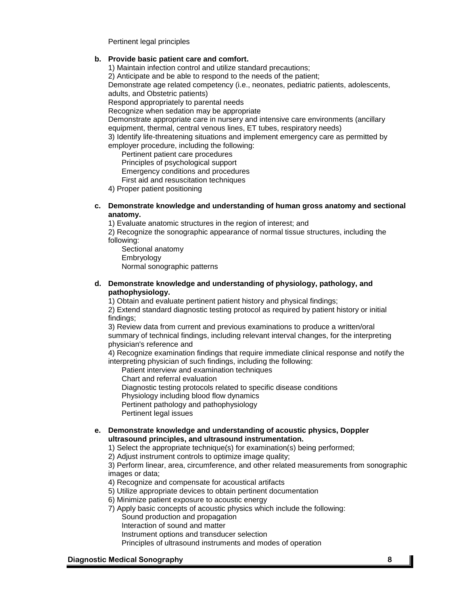Pertinent legal principles

### **b. Provide basic patient care and comfort.**

1) Maintain infection control and utilize standard precautions;

2) Anticipate and be able to respond to the needs of the patient;

Demonstrate age related competency (i.e., neonates, pediatric patients, adolescents, adults, and Obstetric patients)

Respond appropriately to parental needs

Recognize when sedation may be appropriate

Demonstrate appropriate care in nursery and intensive care environments (ancillary equipment, thermal, central venous lines, ET tubes, respiratory needs)

3) Identify life-threatening situations and implement emergency care as permitted by employer procedure, including the following:

Pertinent patient care procedures

Principles of psychological support

Emergency conditions and procedures

First aid and resuscitation techniques

4) Proper patient positioning

#### **c. Demonstrate knowledge and understanding of human gross anatomy and sectional anatomy.**

1) Evaluate anatomic structures in the region of interest; and

2) Recognize the sonographic appearance of normal tissue structures, including the following:

Sectional anatomy **Embryology** Normal sonographic patterns

### **d. Demonstrate knowledge and understanding of physiology, pathology, and pathophysiology.**

1) Obtain and evaluate pertinent patient history and physical findings;

2) Extend standard diagnostic testing protocol as required by patient history or initial findings;

3) Review data from current and previous examinations to produce a written/oral summary of technical findings, including relevant interval changes, for the interpreting physician's reference and

4) Recognize examination findings that require immediate clinical response and notify the interpreting physician of such findings, including the following:

Patient interview and examination techniques

Chart and referral evaluation

Diagnostic testing protocols related to specific disease conditions

Physiology including blood flow dynamics

Pertinent pathology and pathophysiology

Pertinent legal issues

## **e. Demonstrate knowledge and understanding of acoustic physics, Doppler ultrasound principles, and ultrasound instrumentation.**

1) Select the appropriate technique(s) for examination(s) being performed;

2) Adjust instrument controls to optimize image quality;

3) Perform linear, area, circumference, and other related measurements from sonographic images or data;

4) Recognize and compensate for acoustical artifacts

5) Utilize appropriate devices to obtain pertinent documentation

6) Minimize patient exposure to acoustic energy

7) Apply basic concepts of acoustic physics which include the following: Sound production and propagation

Interaction of sound and matter

Instrument options and transducer selection

Principles of ultrasound instruments and modes of operation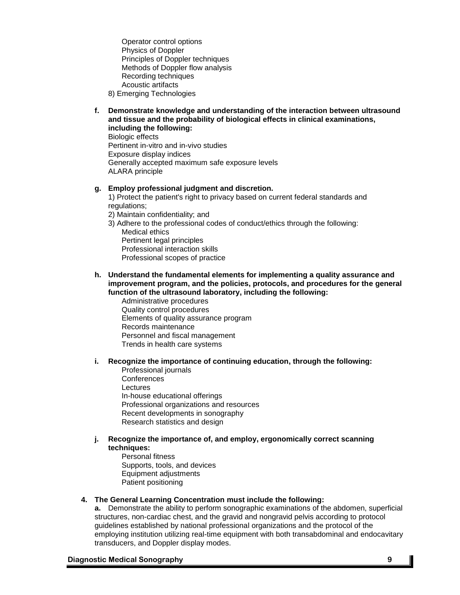Operator control options Physics of Doppler Principles of Doppler techniques Methods of Doppler flow analysis Recording techniques Acoustic artifacts

- 8) Emerging Technologies
- **f. Demonstrate knowledge and understanding of the interaction between ultrasound and tissue and the probability of biological effects in clinical examinations, including the following:**

Biologic effects Pertinent in-vitro and in-vivo studies Exposure display indices Generally accepted maximum safe exposure levels ALARA principle

#### **g. Employ professional judgment and discretion.**

1) Protect the patient's right to privacy based on current federal standards and regulations:

- 2) Maintain confidentiality; and
- 3) Adhere to the professional codes of conduct/ethics through the following:
	- Medical ethics Pertinent legal principles Professional interaction skills Professional scopes of practice

#### **h. Understand the fundamental elements for implementing a quality assurance and improvement program, and the policies, protocols, and procedures for the general function of the ultrasound laboratory, including the following:**

Administrative procedures Quality control procedures Elements of quality assurance program Records maintenance Personnel and fiscal management Trends in health care systems

### **i. Recognize the importance of continuing education, through the following:**

Professional journals **Conferences** Lectures In-house educational offerings Professional organizations and resources Recent developments in sonography Research statistics and design

#### **j. Recognize the importance of, and employ, ergonomically correct scanning techniques:**

Personal fitness Supports, tools, and devices Equipment adjustments Patient positioning

### **4. The General Learning Concentration must include the following:**

**a.** Demonstrate the ability to perform sonographic examinations of the abdomen, superficial structures, non-cardiac chest, and the gravid and nongravid pelvis according to protocol guidelines established by national professional organizations and the protocol of the employing institution utilizing real-time equipment with both transabdominal and endocavitary transducers, and Doppler display modes.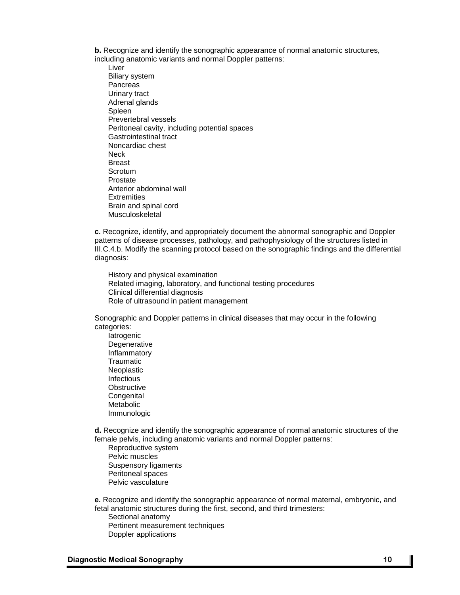**b.** Recognize and identify the sonographic appearance of normal anatomic structures, including anatomic variants and normal Doppler patterns:

Liver Biliary system Pancreas Urinary tract Adrenal glands Spleen Prevertebral vessels Peritoneal cavity, including potential spaces Gastrointestinal tract Noncardiac chest **Neck** Breast **Scrotum** Prostate Anterior abdominal wall **Extremities** Brain and spinal cord Musculoskeletal

**c.** Recognize, identify, and appropriately document the abnormal sonographic and Doppler patterns of disease processes, pathology, and pathophysiology of the structures listed in III.C.4.b. Modify the scanning protocol based on the sonographic findings and the differential diagnosis:

History and physical examination Related imaging, laboratory, and functional testing procedures Clinical differential diagnosis Role of ultrasound in patient management

Sonographic and Doppler patterns in clinical diseases that may occur in the following categories:

Iatrogenic **Degenerative** Inflammatory **Traumatic** Neoplastic Infectious **Obstructive Congenital** Metabolic Immunologic

**d.** Recognize and identify the sonographic appearance of normal anatomic structures of the female pelvis, including anatomic variants and normal Doppler patterns:

Reproductive system Pelvic muscles Suspensory ligaments Peritoneal spaces Pelvic vasculature

**e.** Recognize and identify the sonographic appearance of normal maternal, embryonic, and fetal anatomic structures during the first, second, and third trimesters: Sectional anatomy Pertinent measurement techniques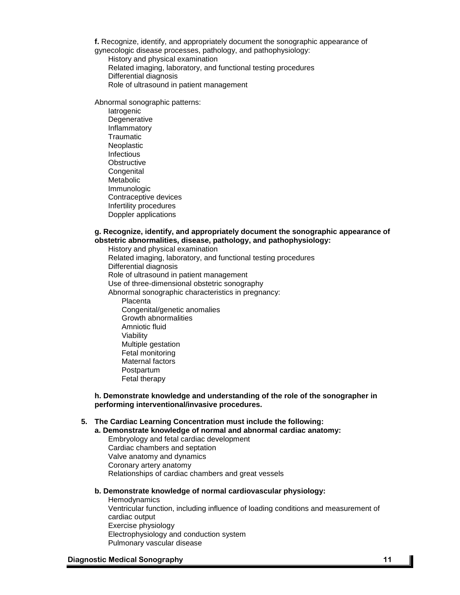**f.** Recognize, identify, and appropriately document the sonographic appearance of gynecologic disease processes, pathology, and pathophysiology:

History and physical examination

Related imaging, laboratory, and functional testing procedures

Differential diagnosis

Role of ultrasound in patient management

Abnormal sonographic patterns:

**latrogenic Degenerative** Inflammatory **Traumatic** Neoplastic Infectious **Obstructive Congenital** Metabolic Immunologic Contraceptive devices Infertility procedures Doppler applications

### **g. Recognize, identify, and appropriately document the sonographic appearance of obstetric abnormalities, disease, pathology, and pathophysiology:**

History and physical examination Related imaging, laboratory, and functional testing procedures Differential diagnosis Role of ultrasound in patient management Use of three-dimensional obstetric sonography Abnormal sonographic characteristics in pregnancy: **Placenta** Congenital/genetic anomalies Growth abnormalities Amniotic fluid Viability Multiple gestation Fetal monitoring Maternal factors Postpartum Fetal therapy

**h. Demonstrate knowledge and understanding of the role of the sonographer in performing interventional/invasive procedures.**

# **5. The Cardiac Learning Concentration must include the following:**

**a. Demonstrate knowledge of normal and abnormal cardiac anatomy:** Embryology and fetal cardiac development

Cardiac chambers and septation

Valve anatomy and dynamics

Coronary artery anatomy

Relationships of cardiac chambers and great vessels

### **b. Demonstrate knowledge of normal cardiovascular physiology:**

**Hemodynamics** Ventricular function, including influence of loading conditions and measurement of cardiac output Exercise physiology Electrophysiology and conduction system Pulmonary vascular disease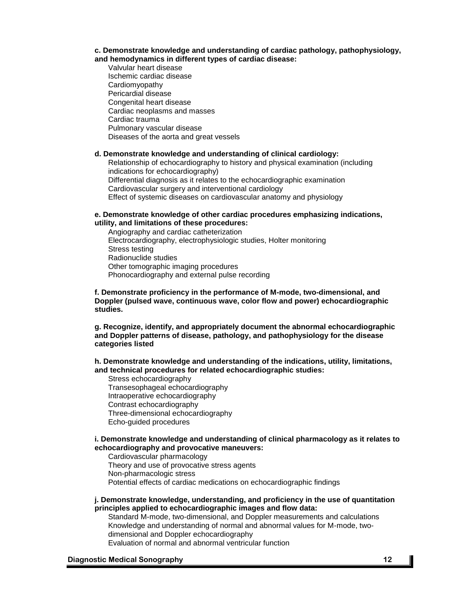#### **c. Demonstrate knowledge and understanding of cardiac pathology, pathophysiology, and hemodynamics in different types of cardiac disease:**

Valvular heart disease Ischemic cardiac disease Cardiomyopathy Pericardial disease Congenital heart disease Cardiac neoplasms and masses Cardiac trauma Pulmonary vascular disease Diseases of the aorta and great vessels

#### **d. Demonstrate knowledge and understanding of clinical cardiology:**

Relationship of echocardiography to history and physical examination (including indications for echocardiography) Differential diagnosis as it relates to the echocardiographic examination Cardiovascular surgery and interventional cardiology Effect of systemic diseases on cardiovascular anatomy and physiology

### **e. Demonstrate knowledge of other cardiac procedures emphasizing indications, utility, and limitations of these procedures:**

Angiography and cardiac catheterization Electrocardiography, electrophysiologic studies, Holter monitoring Stress testing Radionuclide studies Other tomographic imaging procedures Phonocardiography and external pulse recording

**f. Demonstrate proficiency in the performance of M-mode, two-dimensional, and Doppler (pulsed wave, continuous wave, color flow and power) echocardiographic studies.**

**g. Recognize, identify, and appropriately document the abnormal echocardiographic and Doppler patterns of disease, pathology, and pathophysiology for the disease categories listed**

**h. Demonstrate knowledge and understanding of the indications, utility, limitations, and technical procedures for related echocardiographic studies:**

Stress echocardiography Transesophageal echocardiography Intraoperative echocardiography Contrast echocardiography Three-dimensional echocardiography Echo-guided procedures

#### **i. Demonstrate knowledge and understanding of clinical pharmacology as it relates to echocardiography and provocative maneuvers:**

Cardiovascular pharmacology Theory and use of provocative stress agents Non-pharmacologic stress Potential effects of cardiac medications on echocardiographic findings

### **j. Demonstrate knowledge, understanding, and proficiency in the use of quantitation principles applied to echocardiographic images and flow data:**

Standard M-mode, two-dimensional, and Doppler measurements and calculations Knowledge and understanding of normal and abnormal values for M-mode, twodimensional and Doppler echocardiography Evaluation of normal and abnormal ventricular function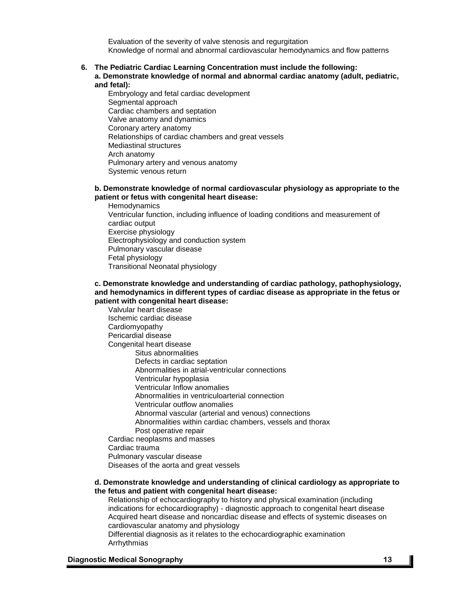Evaluation of the severity of valve stenosis and regurgitation Knowledge of normal and abnormal cardiovascular hemodynamics and flow patterns

#### **6. The Pediatric Cardiac Learning Concentration must include the following: a. Demonstrate knowledge of normal and abnormal cardiac anatomy (adult, pediatric, and fetal):**

Embryology and fetal cardiac development Segmental approach Cardiac chambers and septation Valve anatomy and dynamics Coronary artery anatomy Relationships of cardiac chambers and great vessels Mediastinal structures Arch anatomy Pulmonary artery and venous anatomy Systemic venous return

### **b. Demonstrate knowledge of normal cardiovascular physiology as appropriate to the patient or fetus with congenital heart disease:**

**Hemodynamics** Ventricular function, including influence of loading conditions and measurement of cardiac output Exercise physiology Electrophysiology and conduction system Pulmonary vascular disease Fetal physiology Transitional Neonatal physiology

#### **c. Demonstrate knowledge and understanding of cardiac pathology, pathophysiology, and hemodynamics in different types of cardiac disease as appropriate in the fetus or patient with congenital heart disease:**

Valvular heart disease Ischemic cardiac disease Cardiomyopathy Pericardial disease Congenital heart disease Situs abnormalities Defects in cardiac septation Abnormalities in atrial-ventricular connections Ventricular hypoplasia Ventricular Inflow anomalies Abnormalities in ventriculoarterial connection Ventricular outflow anomalies Abnormal vascular (arterial and venous) connections Abnormalities within cardiac chambers, vessels and thorax Post operative repair Cardiac neoplasms and masses Cardiac trauma Pulmonary vascular disease Diseases of the aorta and great vessels

#### **d. Demonstrate knowledge and understanding of clinical cardiology as appropriate to the fetus and patient with congenital heart disease:**

Relationship of echocardiography to history and physical examination (including indications for echocardiography) - diagnostic approach to congenital heart disease Acquired heart disease and noncardiac disease and effects of systemic diseases on cardiovascular anatomy and physiology

Differential diagnosis as it relates to the echocardiographic examination Arrhythmias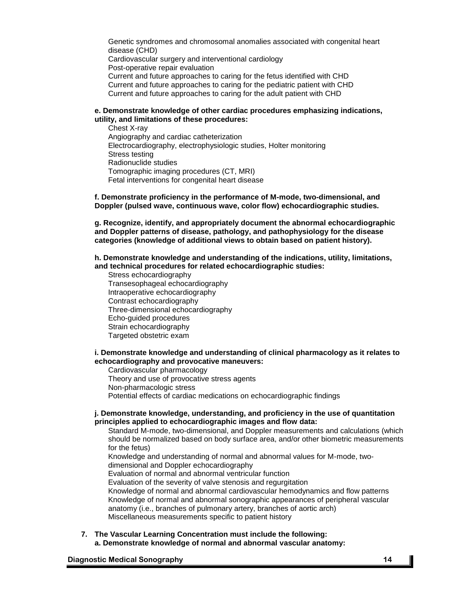Genetic syndromes and chromosomal anomalies associated with congenital heart disease (CHD) Cardiovascular surgery and interventional cardiology Post-operative repair evaluation Current and future approaches to caring for the fetus identified with CHD Current and future approaches to caring for the pediatric patient with CHD Current and future approaches to caring for the adult patient with CHD

### **e. Demonstrate knowledge of other cardiac procedures emphasizing indications, utility, and limitations of these procedures:**

Chest X-ray Angiography and cardiac catheterization Electrocardiography, electrophysiologic studies, Holter monitoring Stress testing Radionuclide studies Tomographic imaging procedures (CT, MRI) Fetal interventions for congenital heart disease

**f. Demonstrate proficiency in the performance of M-mode, two-dimensional, and Doppler (pulsed wave, continuous wave, color flow) echocardiographic studies.**

**g. Recognize, identify, and appropriately document the abnormal echocardiographic and Doppler patterns of disease, pathology, and pathophysiology for the disease categories (knowledge of additional views to obtain based on patient history).**

**h. Demonstrate knowledge and understanding of the indications, utility, limitations, and technical procedures for related echocardiographic studies:**

Stress echocardiography Transesophageal echocardiography Intraoperative echocardiography Contrast echocardiography Three-dimensional echocardiography Echo-guided procedures Strain echocardiography Targeted obstetric exam

## **i. Demonstrate knowledge and understanding of clinical pharmacology as it relates to echocardiography and provocative maneuvers:**

Cardiovascular pharmacology Theory and use of provocative stress agents Non-pharmacologic stress Potential effects of cardiac medications on echocardiographic findings

### **j. Demonstrate knowledge, understanding, and proficiency in the use of quantitation principles applied to echocardiographic images and flow data:**

Standard M-mode, two-dimensional, and Doppler measurements and calculations (which should be normalized based on body surface area, and/or other biometric measurements for the fetus)

Knowledge and understanding of normal and abnormal values for M-mode, twodimensional and Doppler echocardiography

Evaluation of normal and abnormal ventricular function

Evaluation of the severity of valve stenosis and regurgitation

Knowledge of normal and abnormal cardiovascular hemodynamics and flow patterns Knowledge of normal and abnormal sonographic appearances of peripheral vascular anatomy (i.e., branches of pulmonary artery, branches of aortic arch) Miscellaneous measurements specific to patient history

**7. The Vascular Learning Concentration must include the following: a. Demonstrate knowledge of normal and abnormal vascular anatomy:**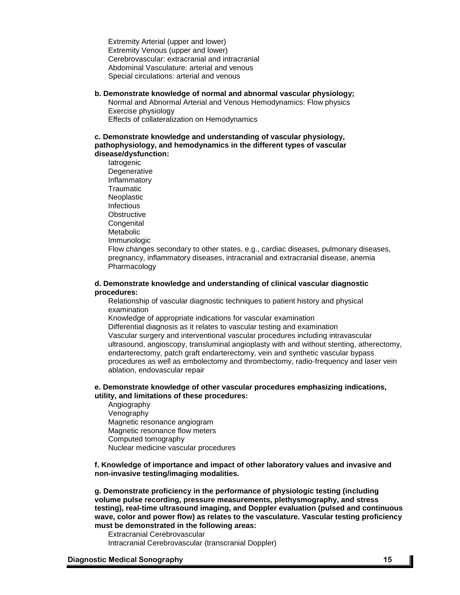Extremity Arterial (upper and lower) Extremity Venous (upper and lower) Cerebrovascular: extracranial and intracranial Abdominal Vasculature: arterial and venous Special circulations: arterial and venous

#### **b. Demonstrate knowledge of normal and abnormal vascular physiology;**

Normal and Abnormal Arterial and Venous Hemodynamics: Flow physics Exercise physiology

Effects of collateralization on Hemodynamics

#### **c. Demonstrate knowledge and understanding of vascular physiology, pathophysiology, and hemodynamics in the different types of vascular disease/dysfunction:**

**Iatrogenic Degenerative** Inflammatory **Traumatic Neoplastic** Infectious **Obstructive Congenital** Metabolic Immunologic Flow changes secondary to other states, e.g., cardiac diseases, pulmonary diseases, pregnancy, inflammatory diseases, intracranial and extracranial disease, anemia Pharmacology

#### **d. Demonstrate knowledge and understanding of clinical vascular diagnostic procedures:**

Relationship of vascular diagnostic techniques to patient history and physical examination

Knowledge of appropriate indications for vascular examination

Differential diagnosis as it relates to vascular testing and examination Vascular surgery and interventional vascular procedures including intravascular ultrasound, angioscopy, transluminal angioplasty with and without stenting, atherectomy, endarterectomy, patch graft endarterectomy, vein and synthetic vascular bypass procedures as well as embolectomy and thrombectomy, radio-frequency and laser vein ablation, endovascular repair

#### **e. Demonstrate knowledge of other vascular procedures emphasizing indications, utility, and limitations of these procedures:**

Angiography Venography Magnetic resonance angiogram Magnetic resonance flow meters Computed tomography Nuclear medicine vascular procedures

### **f. Knowledge of importance and impact of other laboratory values and invasive and non-invasive testing/imaging modalities.**

**g. Demonstrate proficiency in the performance of physiologic testing (including volume pulse recording, pressure measurements, plethysmography, and stress testing), real-time ultrasound imaging, and Doppler evaluation (pulsed and continuous wave, color and power flow) as relates to the vasculature. Vascular testing proficiency must be demonstrated in the following areas:**

Extracranial Cerebrovascular Intracranial Cerebrovascular (transcranial Doppler)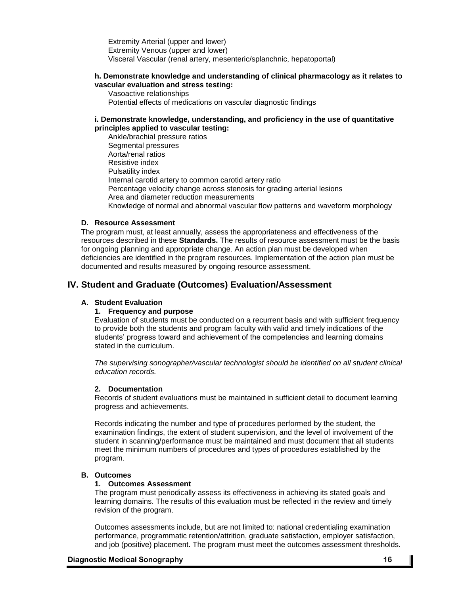Extremity Arterial (upper and lower) Extremity Venous (upper and lower) Visceral Vascular (renal artery, mesenteric/splanchnic, hepatoportal)

## **h. Demonstrate knowledge and understanding of clinical pharmacology as it relates to vascular evaluation and stress testing:**

Vasoactive relationships Potential effects of medications on vascular diagnostic findings

## **i. Demonstrate knowledge, understanding, and proficiency in the use of quantitative principles applied to vascular testing:**

Ankle/brachial pressure ratios Segmental pressures Aorta/renal ratios Resistive index Pulsatility index Internal carotid artery to common carotid artery ratio Percentage velocity change across stenosis for grading arterial lesions Area and diameter reduction measurements Knowledge of normal and abnormal vascular flow patterns and waveform morphology

## **D. Resource Assessment**

The program must, at least annually, assess the appropriateness and effectiveness of the resources described in these **Standards.** The results of resource assessment must be the basis for ongoing planning and appropriate change. An action plan must be developed when deficiencies are identified in the program resources. Implementation of the action plan must be documented and results measured by ongoing resource assessment.

# **IV. Student and Graduate (Outcomes) Evaluation/Assessment**

# **A. Student Evaluation**

# **1. Frequency and purpose**

Evaluation of students must be conducted on a recurrent basis and with sufficient frequency to provide both the students and program faculty with valid and timely indications of the students' progress toward and achievement of the competencies and learning domains stated in the curriculum.

*The supervising sonographer/vascular technologist should be identified on all student clinical education records.*

# **2. Documentation**

Records of student evaluations must be maintained in sufficient detail to document learning progress and achievements.

Records indicating the number and type of procedures performed by the student, the examination findings, the extent of student supervision, and the level of involvement of the student in scanning/performance must be maintained and must document that all students meet the minimum numbers of procedures and types of procedures established by the program.

## **B. Outcomes**

### **1. Outcomes Assessment**

The program must periodically assess its effectiveness in achieving its stated goals and learning domains. The results of this evaluation must be reflected in the review and timely revision of the program.

Outcomes assessments include, but are not limited to: national credentialing examination performance, programmatic retention/attrition, graduate satisfaction, employer satisfaction, and job (positive) placement. The program must meet the outcomes assessment thresholds.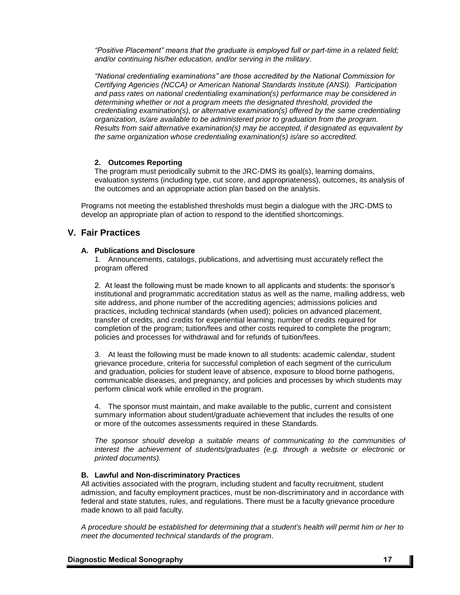*"Positive Placement" means that the graduate is employed full or part-time in a related field; and/or continuing his/her education, and/or serving in the military.*

*"National credentialing examinations" are those accredited by the National Commission for Certifying Agencies (NCCA) or American National Standards Institute (ANSI). Participation and pass rates on national credentialing examination(s) performance may be considered in determining whether or not a program meets the designated threshold, provided the credentialing examination(s), or alternative examination(s) offered by the same credentialing organization, is/are available to be administered prior to graduation from the program. Results from said alternative examination(s) may be accepted, if designated as equivalent by the same organization whose credentialing examination(s) is/are so accredited.*

### **2. Outcomes Reporting**

The program must periodically submit to the JRC-DMS its goal(s), learning domains, evaluation systems (including type, cut score, and appropriateness), outcomes, its analysis of the outcomes and an appropriate action plan based on the analysis.

Programs not meeting the established thresholds must begin a dialogue with the JRC-DMS to develop an appropriate plan of action to respond to the identified shortcomings.

# **V. Fair Practices**

### **A. Publications and Disclosure**

1. Announcements, catalogs, publications, and advertising must accurately reflect the program offered

2. At least the following must be made known to all applicants and students: the sponsor's institutional and programmatic accreditation status as well as the name, mailing address, web site address, and phone number of the accrediting agencies; admissions policies and practices, including technical standards (when used); policies on advanced placement, transfer of credits, and credits for experiential learning; number of credits required for completion of the program; tuition/fees and other costs required to complete the program; policies and processes for withdrawal and for refunds of tuition/fees.

3. At least the following must be made known to all students: academic calendar, student grievance procedure, criteria for successful completion of each segment of the curriculum and graduation, policies for student leave of absence, exposure to blood borne pathogens, communicable diseases, and pregnancy, and policies and processes by which students may perform clinical work while enrolled in the program.

4. The sponsor must maintain, and make available to the public, current and consistent summary information about student/graduate achievement that includes the results of one or more of the outcomes assessments required in these Standards.

*The sponsor should develop a suitable means of communicating to the communities of interest the achievement of students/graduates (e.g. through a website or electronic or printed documents).*

### **B. Lawful and Non-discriminatory Practices**

All activities associated with the program, including student and faculty recruitment, student admission, and faculty employment practices, must be non-discriminatory and in accordance with federal and state statutes, rules, and regulations. There must be a faculty grievance procedure made known to all paid faculty.

*A procedure should be established for determining that a student's health will permit him or her to meet the documented technical standards of the program*.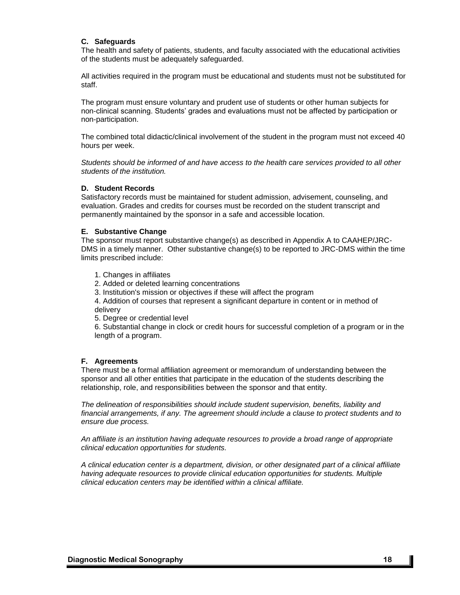## **C. Safeguards**

The health and safety of patients, students, and faculty associated with the educational activities of the students must be adequately safeguarded.

All activities required in the program must be educational and students must not be substituted for staff.

The program must ensure voluntary and prudent use of students or other human subjects for non-clinical scanning. Students' grades and evaluations must not be affected by participation or non-participation.

The combined total didactic/clinical involvement of the student in the program must not exceed 40 hours per week.

*Students should be informed of and have access to the health care services provided to all other students of the institution.*

#### **D. Student Records**

Satisfactory records must be maintained for student admission, advisement, counseling, and evaluation. Grades and credits for courses must be recorded on the student transcript and permanently maintained by the sponsor in a safe and accessible location.

### **E. Substantive Change**

The sponsor must report substantive change(s) as described in Appendix A to CAAHEP/JRC-DMS in a timely manner. Other substantive change(s) to be reported to JRC-DMS within the time limits prescribed include:

1. Changes in affiliates

2. Added or deleted learning concentrations

3. Institution's mission or objectives if these will affect the program

4. Addition of courses that represent a significant departure in content or in method of delivery

5. Degree or credential level

6. Substantial change in clock or credit hours for successful completion of a program or in the length of a program.

### **F. Agreements**

There must be a formal affiliation agreement or memorandum of understanding between the sponsor and all other entities that participate in the education of the students describing the relationship, role, and responsibilities between the sponsor and that entity.

*The delineation of responsibilities should include student supervision, benefits, liability and financial arrangements, if any. The agreement should include a clause to protect students and to ensure due process.* 

*An affiliate is an institution having adequate resources to provide a broad range of appropriate clinical education opportunities for students.*

*A clinical education center is a department, division, or other designated part of a clinical affiliate having adequate resources to provide clinical education opportunities for students. Multiple clinical education centers may be identified within a clinical affiliate.*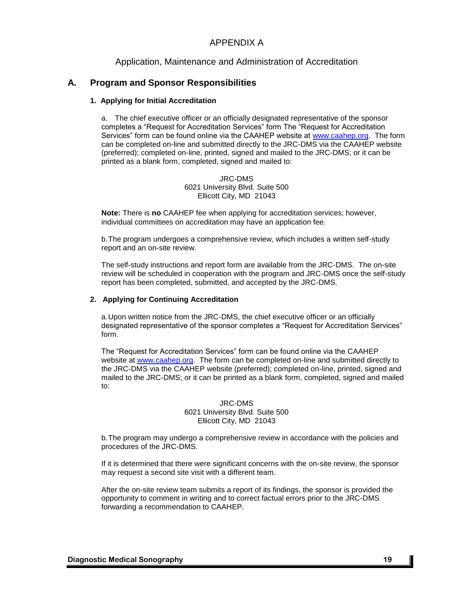# APPENDIX A

# Application, Maintenance and Administration of Accreditation

# **A. Program and Sponsor Responsibilities**

### **1. Applying for Initial Accreditation**

a. The chief executive officer or an officially designated representative of the sponsor completes a "Request for Accreditation Services" form The "Request for Accreditation Services" form can be found online via the CAAHEP website at [www.caahep.org.](http://www.caahep.org/) The form can be completed on-line and submitted directly to the JRC-DMS via the CAAHEP website (preferred); completed on-line, printed, signed and mailed to the JRC-DMS; or it can be printed as a blank form, completed, signed and mailed to:

> JRC-DMS 6021 University Blvd. Suite 500 Ellicott City, MD 21043

**Note:** There is **no** CAAHEP fee when applying for accreditation services; however, individual committees on accreditation may have an application fee.

b.The program undergoes a comprehensive review, which includes a written self-study report and an on-site review.

The self-study instructions and report form are available from the JRC-DMS. The on-site review will be scheduled in cooperation with the program and JRC-DMS once the self-study report has been completed, submitted, and accepted by the JRC-DMS.

#### **2. Applying for Continuing Accreditation**

a.Upon written notice from the JRC-DMS, the chief executive officer or an officially designated representative of the sponsor completes a "Request for Accreditation Services" form.

The "Request for Accreditation Services" form can be found online via the CAAHEP website at [www.caahep.org.](http://www.caahep.org/) The form can be completed on-line and submitted directly to the JRC-DMS via the CAAHEP website (preferred); completed on-line, printed, signed and mailed to the JRC-DMS; or it can be printed as a blank form, completed, signed and mailed to:

### JRC-DMS 6021 University Blvd. Suite 500 Ellicott City, MD 21043

b.The program may undergo a comprehensive review in accordance with the policies and procedures of the JRC-DMS.

If it is determined that there were significant concerns with the on-site review, the sponsor may request a second site visit with a different team.

After the on-site review team submits a report of its findings, the sponsor is provided the opportunity to comment in writing and to correct factual errors prior to the JRC-DMS forwarding a recommendation to CAAHEP.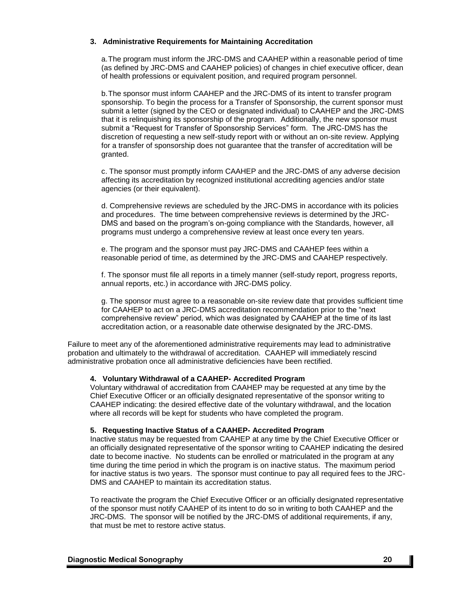## **3. Administrative Requirements for Maintaining Accreditation**

a.The program must inform the JRC-DMS and CAAHEP within a reasonable period of time (as defined by JRC-DMS and CAAHEP policies) of changes in chief executive officer, dean of health professions or equivalent position, and required program personnel.

b.The sponsor must inform CAAHEP and the JRC-DMS of its intent to transfer program sponsorship. To begin the process for a Transfer of Sponsorship, the current sponsor must submit a letter (signed by the CEO or designated individual) to CAAHEP and the JRC-DMS that it is relinquishing its sponsorship of the program. Additionally, the new sponsor must submit a "Request for Transfer of Sponsorship Services" form. The JRC-DMS has the discretion of requesting a new self-study report with or without an on-site review. Applying for a transfer of sponsorship does not guarantee that the transfer of accreditation will be granted.

c. The sponsor must promptly inform CAAHEP and the JRC-DMS of any adverse decision affecting its accreditation by recognized institutional accrediting agencies and/or state agencies (or their equivalent).

d. Comprehensive reviews are scheduled by the JRC-DMS in accordance with its policies and procedures. The time between comprehensive reviews is determined by the JRC-DMS and based on the program's on-going compliance with the Standards, however, all programs must undergo a comprehensive review at least once every ten years.

e. The program and the sponsor must pay JRC-DMS and CAAHEP fees within a reasonable period of time, as determined by the JRC-DMS and CAAHEP respectively.

f. The sponsor must file all reports in a timely manner (self-study report, progress reports, annual reports, etc.) in accordance with JRC-DMS policy.

g. The sponsor must agree to a reasonable on-site review date that provides sufficient time for CAAHEP to act on a JRC-DMS accreditation recommendation prior to the "next comprehensive review" period, which was designated by CAAHEP at the time of its last accreditation action, or a reasonable date otherwise designated by the JRC-DMS.

Failure to meet any of the aforementioned administrative requirements may lead to administrative probation and ultimately to the withdrawal of accreditation. CAAHEP will immediately rescind administrative probation once all administrative deficiencies have been rectified.

### **4. Voluntary Withdrawal of a CAAHEP- Accredited Program**

Voluntary withdrawal of accreditation from CAAHEP may be requested at any time by the Chief Executive Officer or an officially designated representative of the sponsor writing to CAAHEP indicating: the desired effective date of the voluntary withdrawal, and the location where all records will be kept for students who have completed the program.

### **5. Requesting Inactive Status of a CAAHEP- Accredited Program**

Inactive status may be requested from CAAHEP at any time by the Chief Executive Officer or an officially designated representative of the sponsor writing to CAAHEP indicating the desired date to become inactive. No students can be enrolled or matriculated in the program at any time during the time period in which the program is on inactive status. The maximum period for inactive status is two years. The sponsor must continue to pay all required fees to the JRC-DMS and CAAHEP to maintain its accreditation status.

To reactivate the program the Chief Executive Officer or an officially designated representative of the sponsor must notify CAAHEP of its intent to do so in writing to both CAAHEP and the JRC-DMS. The sponsor will be notified by the JRC-DMS of additional requirements, if any, that must be met to restore active status.